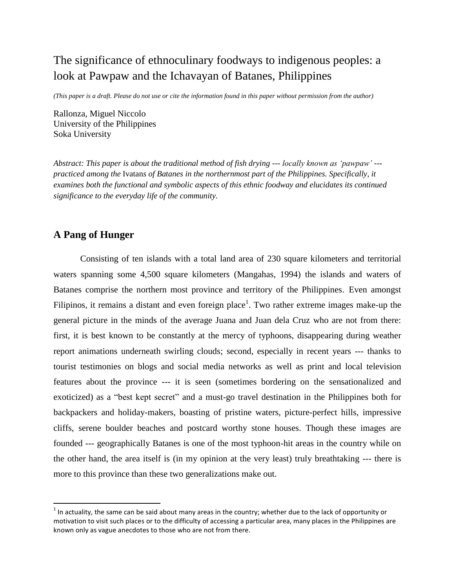# The significance of ethnoculinary foodways to indigenous peoples: a look at Pawpaw and the Ichavayan of Batanes, Philippines

*(This paper is a draft. Please do not use or cite the information found in this paper without permission from the author)*

Rallonza, Miguel Niccolo University of the Philippines Soka University

*Abstract: This paper is about the traditional method of fish drying --- locally known as 'pawpaw' -- practiced among the* Ivatan*s of Batanes in the northernmost part of the Philippines. Specifically, it examines both the functional and symbolic aspects of this ethnic foodway and elucidates its continued significance to the everyday life of the community.*

### **A Pang of Hunger**

 $\overline{\phantom{a}}$ 

Consisting of ten islands with a total land area of 230 square kilometers and territorial waters spanning some 4,500 square kilometers (Mangahas, 1994) the islands and waters of Batanes comprise the northern most province and territory of the Philippines. Even amongst Filipinos, it remains a distant and even foreign place<sup>1</sup>. Two rather extreme images make-up the general picture in the minds of the average Juana and Juan dela Cruz who are not from there: first, it is best known to be constantly at the mercy of typhoons, disappearing during weather report animations underneath swirling clouds; second, especially in recent years --- thanks to tourist testimonies on blogs and social media networks as well as print and local television features about the province --- it is seen (sometimes bordering on the sensationalized and exoticized) as a "best kept secret" and a must-go travel destination in the Philippines both for backpackers and holiday-makers, boasting of pristine waters, picture-perfect hills, impressive cliffs, serene boulder beaches and postcard worthy stone houses. Though these images are founded --- geographically Batanes is one of the most typhoon-hit areas in the country while on the other hand, the area itself is (in my opinion at the very least) truly breathtaking --- there is more to this province than these two generalizations make out.

 $<sup>1</sup>$  In actuality, the same can be said about many areas in the country; whether due to the lack of opportunity or</sup> motivation to visit such places or to the difficulty of accessing a particular area, many places in the Philippines are known only as vague anecdotes to those who are not from there.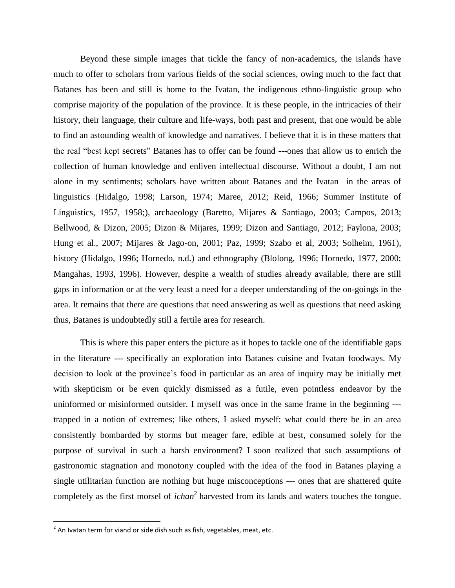Beyond these simple images that tickle the fancy of non-academics, the islands have much to offer to scholars from various fields of the social sciences, owing much to the fact that Batanes has been and still is home to the Ivatan, the indigenous ethno-linguistic group who comprise majority of the population of the province. It is these people, in the intricacies of their history, their language, their culture and life-ways, both past and present, that one would be able to find an astounding wealth of knowledge and narratives. I believe that it is in these matters that the real "best kept secrets" Batanes has to offer can be found ---ones that allow us to enrich the collection of human knowledge and enliven intellectual discourse. Without a doubt, I am not alone in my sentiments; scholars have written about Batanes and the Ivatan in the areas of linguistics (Hidalgo, 1998; Larson, 1974; Maree, 2012; Reid, 1966; Summer Institute of Linguistics, 1957, 1958;), archaeology (Baretto, Mijares & Santiago, 2003; Campos, 2013; Bellwood, & Dizon, 2005; Dizon & Mijares, 1999; Dizon and Santiago, 2012; Faylona, 2003; Hung et al., 2007; Mijares & Jago-on, 2001; Paz, 1999; Szabo et al, 2003; Solheim, 1961), history (Hidalgo, 1996; Hornedo, n.d.) and ethnography (Blolong, 1996; Hornedo, 1977, 2000; Mangahas, 1993, 1996). However, despite a wealth of studies already available, there are still gaps in information or at the very least a need for a deeper understanding of the on-goings in the area. It remains that there are questions that need answering as well as questions that need asking thus, Batanes is undoubtedly still a fertile area for research.

This is where this paper enters the picture as it hopes to tackle one of the identifiable gaps in the literature --- specifically an exploration into Batanes cuisine and Ivatan foodways. My decision to look at the province's food in particular as an area of inquiry may be initially met with skepticism or be even quickly dismissed as a futile, even pointless endeavor by the uninformed or misinformed outsider. I myself was once in the same frame in the beginning -- trapped in a notion of extremes; like others, I asked myself: what could there be in an area consistently bombarded by storms but meager fare, edible at best, consumed solely for the purpose of survival in such a harsh environment? I soon realized that such assumptions of gastronomic stagnation and monotony coupled with the idea of the food in Batanes playing a single utilitarian function are nothing but huge misconceptions --- ones that are shattered quite completely as the first morsel of *ichan*<sup>2</sup> harvested from its lands and waters touches the tongue.

 $^{2}$  An Ivatan term for viand or side dish such as fish, vegetables, meat, etc.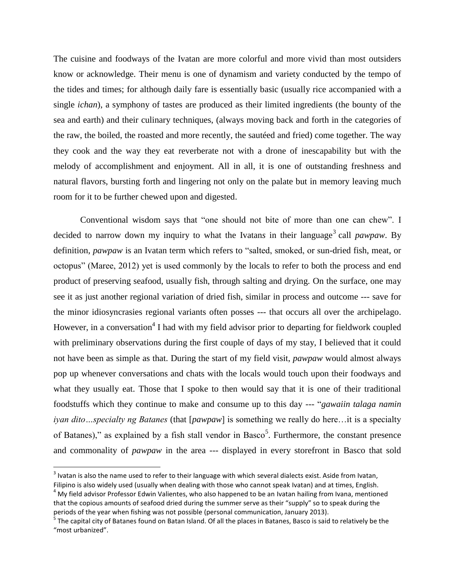The cuisine and foodways of the Ivatan are more colorful and more vivid than most outsiders know or acknowledge. Their menu is one of dynamism and variety conducted by the tempo of the tides and times; for although daily fare is essentially basic (usually rice accompanied with a single *ichan*), a symphony of tastes are produced as their limited ingredients (the bounty of the sea and earth) and their culinary techniques, (always moving back and forth in the categories of the raw, the boiled, the roasted and more recently, the sautéed and fried) come together. The way they cook and the way they eat reverberate not with a drone of inescapability but with the melody of accomplishment and enjoyment. All in all, it is one of outstanding freshness and natural flavors, bursting forth and lingering not only on the palate but in memory leaving much room for it to be further chewed upon and digested.

Conventional wisdom says that "one should not bite of more than one can chew". I decided to narrow down my inquiry to what the Ivatans in their language<sup>3</sup> call *pawpaw*. By definition, *pawpaw* is an Ivatan term which refers to "salted, smoked, or sun-dried fish, meat, or octopus" (Maree, 2012) yet is used commonly by the locals to refer to both the process and end product of preserving seafood, usually fish, through salting and drying. On the surface, one may see it as just another regional variation of dried fish, similar in process and outcome --- save for the minor idiosyncrasies regional variants often posses --- that occurs all over the archipelago. However, in a conversation<sup>4</sup> I had with my field advisor prior to departing for fieldwork coupled with preliminary observations during the first couple of days of my stay, I believed that it could not have been as simple as that. During the start of my field visit, *pawpaw* would almost always pop up whenever conversations and chats with the locals would touch upon their foodways and what they usually eat. Those that I spoke to then would say that it is one of their traditional foodstuffs which they continue to make and consume up to this day --- "*gawaiin talaga namin iyan dito…specialty ng Batanes* (that [*pawpaw*] is something we really do here…it is a specialty of Batanes)," as explained by a fish stall vendor in Basco<sup>5</sup>. Furthermore, the constant presence and commonality of *pawpaw* in the area --- displayed in every storefront in Basco that sold

 $3$  Ivatan is also the name used to refer to their language with which several dialects exist. Aside from Ivatan, Filipino is also widely used (usually when dealing with those who cannot speak Ivatan) and at times, English.

 $4$  My field advisor Professor Edwin Valientes, who also happened to be an Ivatan hailing from Ivana, mentioned that the copious amounts of seafood dried during the summer serve as their "supply" so to speak during the periods of the year when fishing was not possible (personal communication, January 2013).

<sup>&</sup>lt;sup>5</sup> The capital city of Batanes found on Batan Island. Of all the places in Batanes, Basco is said to relatively be the "most urbanized".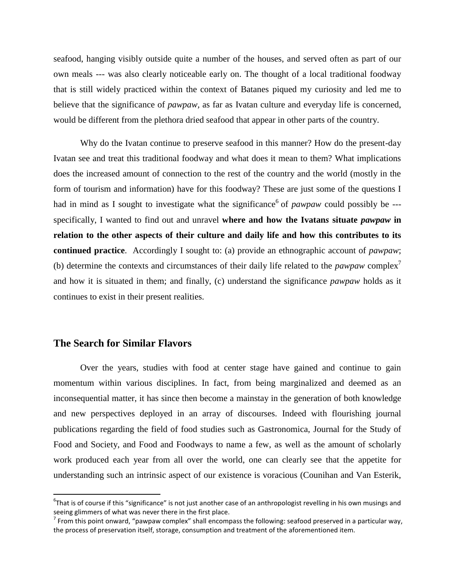seafood, hanging visibly outside quite a number of the houses, and served often as part of our own meals --- was also clearly noticeable early on. The thought of a local traditional foodway that is still widely practiced within the context of Batanes piqued my curiosity and led me to believe that the significance of *pawpaw,* as far as Ivatan culture and everyday life is concerned, would be different from the plethora dried seafood that appear in other parts of the country.

Why do the Ivatan continue to preserve seafood in this manner? How do the present-day Ivatan see and treat this traditional foodway and what does it mean to them? What implications does the increased amount of connection to the rest of the country and the world (mostly in the form of tourism and information) have for this foodway? These are just some of the questions I had in mind as I sought to investigate what the significance<sup>6</sup> of *pawpaw* could possibly be --specifically, I wanted to find out and unravel **where and how the Ivatan***s* **situate** *pawpaw* **in relation to the other aspects of their culture and daily life and how this contributes to its continued practice**. Accordingly I sought to: (a) provide an ethnographic account of *pawpaw*; (b) determine the contexts and circumstances of their daily life related to the *pawpaw* complex<sup>7</sup> and how it is situated in them; and finally, (c) understand the significance *pawpaw* holds as it continues to exist in their present realities.

### **The Search for Similar Flavors**

 $\overline{a}$ 

Over the years, studies with food at center stage have gained and continue to gain momentum within various disciplines. In fact, from being marginalized and deemed as an inconsequential matter, it has since then become a mainstay in the generation of both knowledge and new perspectives deployed in an array of discourses. Indeed with flourishing journal publications regarding the field of food studies such as Gastronomica, Journal for the Study of Food and Society, and Food and Foodways to name a few, as well as the amount of scholarly work produced each year from all over the world, one can clearly see that the appetite for understanding such an intrinsic aspect of our existence is voracious (Counihan and Van Esterik,

 ${}^6$ That is of course if this "significance" is not just another case of an anthropologist revelling in his own musings and seeing glimmers of what was never there in the first place.

 $^7$  From this point onward, "pawpaw complex" shall encompass the following: seafood preserved in a particular way, the process of preservation itself, storage, consumption and treatment of the aforementioned item.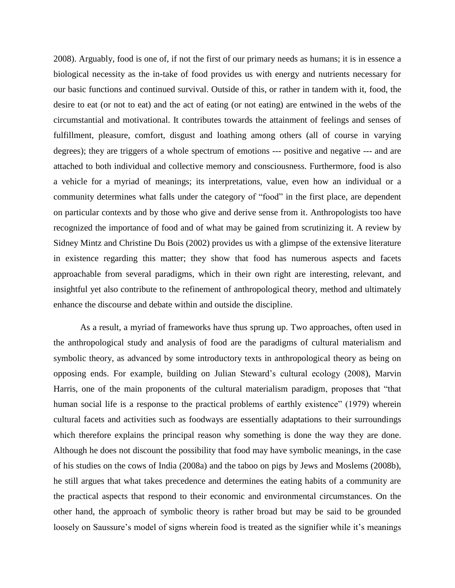2008). Arguably, food is one of, if not the first of our primary needs as humans; it is in essence a biological necessity as the in-take of food provides us with energy and nutrients necessary for our basic functions and continued survival. Outside of this, or rather in tandem with it, food, the desire to eat (or not to eat) and the act of eating (or not eating) are entwined in the webs of the circumstantial and motivational. It contributes towards the attainment of feelings and senses of fulfillment, pleasure, comfort, disgust and loathing among others (all of course in varying degrees); they are triggers of a whole spectrum of emotions --- positive and negative --- and are attached to both individual and collective memory and consciousness. Furthermore, food is also a vehicle for a myriad of meanings; its interpretations, value, even how an individual or a community determines what falls under the category of "food" in the first place, are dependent on particular contexts and by those who give and derive sense from it. Anthropologists too have recognized the importance of food and of what may be gained from scrutinizing it. A review by Sidney Mintz and Christine Du Bois (2002) provides us with a glimpse of the extensive literature in existence regarding this matter; they show that food has numerous aspects and facets approachable from several paradigms, which in their own right are interesting, relevant, and insightful yet also contribute to the refinement of anthropological theory, method and ultimately enhance the discourse and debate within and outside the discipline.

As a result, a myriad of frameworks have thus sprung up. Two approaches, often used in the anthropological study and analysis of food are the paradigms of cultural materialism and symbolic theory, as advanced by some introductory texts in anthropological theory as being on opposing ends. For example, building on Julian Steward's cultural ecology (2008), Marvin Harris, one of the main proponents of the cultural materialism paradigm, proposes that "that human social life is a response to the practical problems of earthly existence" (1979) wherein cultural facets and activities such as foodways are essentially adaptations to their surroundings which therefore explains the principal reason why something is done the way they are done. Although he does not discount the possibility that food may have symbolic meanings, in the case of his studies on the cows of India (2008a) and the taboo on pigs by Jews and Moslems (2008b), he still argues that what takes precedence and determines the eating habits of a community are the practical aspects that respond to their economic and environmental circumstances. On the other hand, the approach of symbolic theory is rather broad but may be said to be grounded loosely on Saussure's model of signs wherein food is treated as the signifier while it's meanings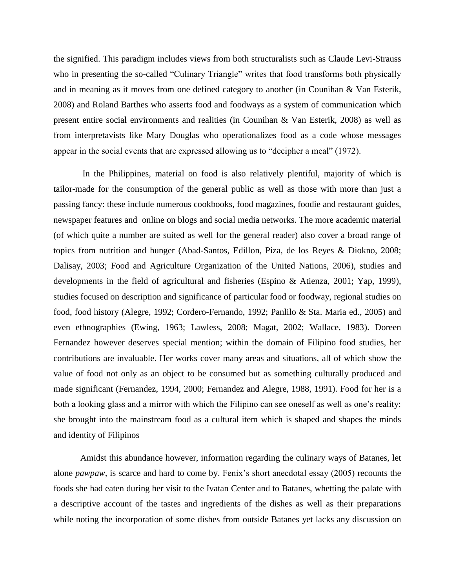the signified. This paradigm includes views from both structuralists such as Claude Levi-Strauss who in presenting the so-called "Culinary Triangle" writes that food transforms both physically and in meaning as it moves from one defined category to another (in Counihan & Van Esterik, 2008) and Roland Barthes who asserts food and foodways as a system of communication which present entire social environments and realities (in Counihan & Van Esterik, 2008) as well as from interpretavists like Mary Douglas who operationalizes food as a code whose messages appear in the social events that are expressed allowing us to "decipher a meal" (1972).

In the Philippines, material on food is also relatively plentiful, majority of which is tailor-made for the consumption of the general public as well as those with more than just a passing fancy: these include numerous cookbooks, food magazines, foodie and restaurant guides, newspaper features and online on blogs and social media networks. The more academic material (of which quite a number are suited as well for the general reader) also cover a broad range of topics from nutrition and hunger (Abad-Santos, Edillon, Piza, de los Reyes & Diokno, 2008; Dalisay, 2003; Food and Agriculture Organization of the United Nations, 2006), studies and developments in the field of agricultural and fisheries (Espino & Atienza, 2001; Yap, 1999), studies focused on description and significance of particular food or foodway, regional studies on food, food history (Alegre, 1992; Cordero-Fernando, 1992; Panlilo & Sta. Maria ed., 2005) and even ethnographies (Ewing, 1963; Lawless, 2008; Magat, 2002; Wallace, 1983). Doreen Fernandez however deserves special mention; within the domain of Filipino food studies, her contributions are invaluable. Her works cover many areas and situations, all of which show the value of food not only as an object to be consumed but as something culturally produced and made significant (Fernandez, 1994, 2000; Fernandez and Alegre, 1988, 1991). Food for her is a both a looking glass and a mirror with which the Filipino can see oneself as well as one's reality; she brought into the mainstream food as a cultural item which is shaped and shapes the minds and identity of Filipinos

Amidst this abundance however, information regarding the culinary ways of Batanes, let alone *pawpaw,* is scarce and hard to come by. Fenix's short anecdotal essay (2005) recounts the foods she had eaten during her visit to the Ivatan Center and to Batanes, whetting the palate with a descriptive account of the tastes and ingredients of the dishes as well as their preparations while noting the incorporation of some dishes from outside Batanes yet lacks any discussion on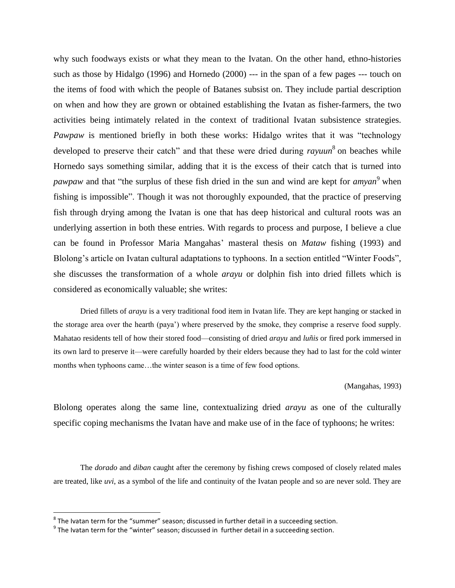why such foodways exists or what they mean to the Ivatan. On the other hand, ethno-histories such as those by Hidalgo (1996) and Hornedo (2000) --- in the span of a few pages --- touch on the items of food with which the people of Batanes subsist on. They include partial description on when and how they are grown or obtained establishing the Ivatan as fisher-farmers, the two activities being intimately related in the context of traditional Ivatan subsistence strategies. *Pawpaw* is mentioned briefly in both these works: Hidalgo writes that it was "technology developed to preserve their catch" and that these were dried during *rayuun*<sup>8</sup> on beaches while Hornedo says something similar, adding that it is the excess of their catch that is turned into *pawpaw* and that "the surplus of these fish dried in the sun and wind are kept for *amyan* <sup>9</sup> when fishing is impossible". Though it was not thoroughly expounded, that the practice of preserving fish through drying among the Ivatan is one that has deep historical and cultural roots was an underlying assertion in both these entries. With regards to process and purpose, I believe a clue can be found in Professor Maria Mangahas' masteral thesis on *Mataw* fishing (1993) and Blolong's article on Ivatan cultural adaptations to typhoons. In a section entitled "Winter Foods", she discusses the transformation of a whole *arayu* or dolphin fish into dried fillets which is considered as economically valuable; she writes:

Dried fillets of *arayu* is a very traditional food item in Ivatan life. They are kept hanging or stacked in the storage area over the hearth (paya') where preserved by the smoke, they comprise a reserve food supply. Mahatao residents tell of how their stored food—consisting of dried *arayu* and *luñis* or fired pork immersed in its own lard to preserve it—were carefully hoarded by their elders because they had to last for the cold winter months when typhoons came…the winter season is a time of few food options.

(Mangahas, 1993)

Blolong operates along the same line, contextualizing dried *arayu* as one of the culturally specific coping mechanisms the Ivatan have and make use of in the face of typhoons; he writes:

The *dorado* and *diban* caught after the ceremony by fishing crews composed of closely related males are treated, like *uvi*, as a symbol of the life and continuity of the Ivatan people and so are never sold. They are

l

 $^8$  The Ivatan term for the "summer" season; discussed in further detail in a succeeding section.

 $<sup>9</sup>$  The Ivatan term for the "winter" season; discussed in further detail in a succeeding section.</sup>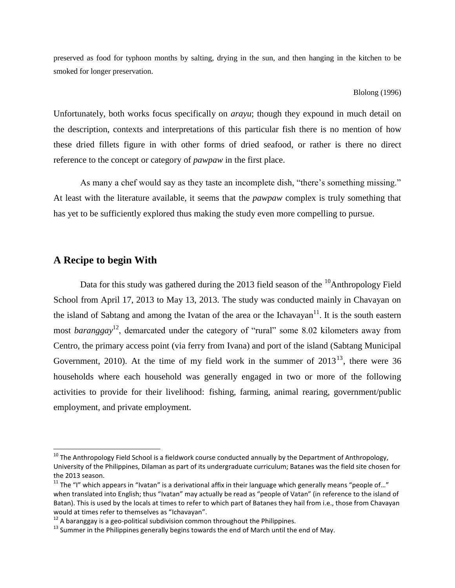preserved as food for typhoon months by salting, drying in the sun, and then hanging in the kitchen to be smoked for longer preservation.

#### Blolong (1996)

Unfortunately, both works focus specifically on *arayu*; though they expound in much detail on the description, contexts and interpretations of this particular fish there is no mention of how these dried fillets figure in with other forms of dried seafood, or rather is there no direct reference to the concept or category of *pawpaw* in the first place.

As many a chef would say as they taste an incomplete dish, "there's something missing." At least with the literature available, it seems that the *pawpaw* complex is truly something that has yet to be sufficiently explored thus making the study even more compelling to pursue.

### **A Recipe to begin With**

 $\overline{\phantom{a}}$ 

Data for this study was gathered during the 2013 field season of the  $\frac{10}{2}$ Anthropology Field School from April 17, 2013 to May 13, 2013. The study was conducted mainly in Chavayan on the island of Sabtang and among the Ivatan of the area or the Ichavayan<sup>11</sup>. It is the south eastern most *baranggay*<sup>12</sup>, demarcated under the category of "rural" some 8.02 kilometers away from Centro, the primary access point (via ferry from Ivana) and port of the island (Sabtang Municipal Government, 2010). At the time of my field work in the summer of  $2013^{13}$ , there were 36 households where each household was generally engaged in two or more of the following activities to provide for their livelihood: fishing, farming, animal rearing, government/public employment, and private employment.

<sup>&</sup>lt;sup>10</sup> The Anthropology Field School is a fieldwork course conducted annually by the Department of Anthropology, University of the Philippines, Dilaman as part of its undergraduate curriculum; Batanes was the field site chosen for the 2013 season.

 $11$  The "I" which appears in "Ivatan" is a derivational affix in their language which generally means "people of..." when translated into English; thus "Ivatan" may actually be read as "people of Vatan" (in reference to the island of Batan). This is used by the locals at times to refer to which part of Batanes they hail from i.e., those from Chavayan would at times refer to themselves as "Ichavayan".

 $12$  A baranggay is a geo-political subdivision common throughout the Philippines.

<sup>&</sup>lt;sup>13</sup> Summer in the Philippines generally begins towards the end of March until the end of May.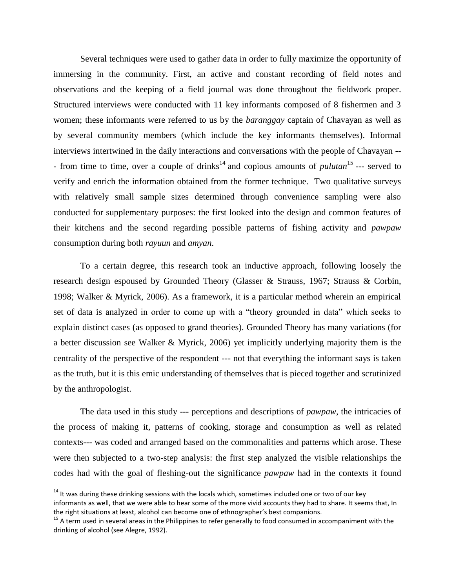Several techniques were used to gather data in order to fully maximize the opportunity of immersing in the community. First, an active and constant recording of field notes and observations and the keeping of a field journal was done throughout the fieldwork proper. Structured interviews were conducted with 11 key informants composed of 8 fishermen and 3 women; these informants were referred to us by the *baranggay* captain of Chavayan as well as by several community members (which include the key informants themselves). Informal interviews intertwined in the daily interactions and conversations with the people of Chavayan -- - from time to time, over a couple of drinks<sup>14</sup> and copious amounts of *pulutan*<sup>15</sup> --- served to verify and enrich the information obtained from the former technique. Two qualitative surveys with relatively small sample sizes determined through convenience sampling were also conducted for supplementary purposes: the first looked into the design and common features of their kitchens and the second regarding possible patterns of fishing activity and *pawpaw* consumption during both *rayuun* and *amyan*.

To a certain degree, this research took an inductive approach, following loosely the research design espoused by Grounded Theory (Glasser & Strauss, 1967; Strauss & Corbin, 1998; Walker & Myrick, 2006). As a framework, it is a particular method wherein an empirical set of data is analyzed in order to come up with a "theory grounded in data" which seeks to explain distinct cases (as opposed to grand theories). Grounded Theory has many variations (for a better discussion see Walker & Myrick, 2006) yet implicitly underlying majority them is the centrality of the perspective of the respondent --- not that everything the informant says is taken as the truth, but it is this emic understanding of themselves that is pieced together and scrutinized by the anthropologist.

The data used in this study --- perceptions and descriptions of *pawpaw*, the intricacies of the process of making it, patterns of cooking, storage and consumption as well as related contexts--- was coded and arranged based on the commonalities and patterns which arose. These were then subjected to a two-step analysis: the first step analyzed the visible relationships the codes had with the goal of fleshing-out the significance *pawpaw* had in the contexts it found

l

 $14$  It was during these drinking sessions with the locals which, sometimes included one or two of our key informants as well, that we were able to hear some of the more vivid accounts they had to share. It seems that, In the right situations at least, alcohol can become one of ethnographer's best companions.

<sup>&</sup>lt;sup>15</sup> A term used in several areas in the Philippines to refer generally to food consumed in accompaniment with the drinking of alcohol (see Alegre, 1992).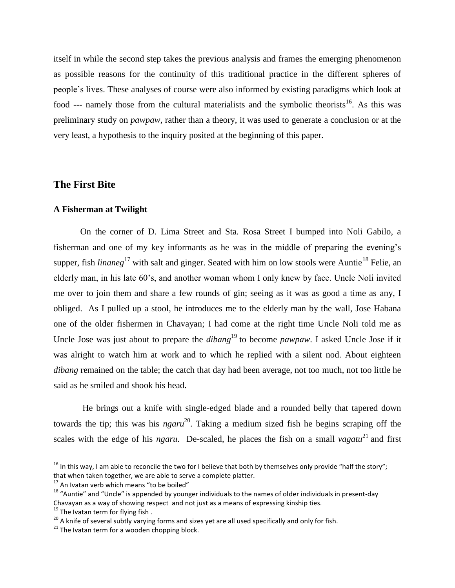itself in while the second step takes the previous analysis and frames the emerging phenomenon as possible reasons for the continuity of this traditional practice in the different spheres of people's lives. These analyses of course were also informed by existing paradigms which look at food --- namely those from the cultural materialists and the symbolic theorists<sup>16</sup>. As this was preliminary study on *pawpaw,* rather than a theory, it was used to generate a conclusion or at the very least, a hypothesis to the inquiry posited at the beginning of this paper.

### **The First Bite**

#### **A Fisherman at Twilight**

On the corner of D. Lima Street and Sta. Rosa Street I bumped into Noli Gabilo, a fisherman and one of my key informants as he was in the middle of preparing the evening's supper, fish *linaneg*<sup>17</sup> with salt and ginger. Seated with him on low stools were Auntie<sup>18</sup> Felie, an elderly man, in his late 60's, and another woman whom I only knew by face. Uncle Noli invited me over to join them and share a few rounds of gin; seeing as it was as good a time as any, I obliged. As I pulled up a stool, he introduces me to the elderly man by the wall, Jose Habana one of the older fishermen in Chavayan; I had come at the right time Uncle Noli told me as Uncle Jose was just about to prepare the *dibang*<sup>19</sup> to become *pawpaw*. I asked Uncle Jose if it was alright to watch him at work and to which he replied with a silent nod. About eighteen *dibang* remained on the table; the catch that day had been average, not too much, not too little he said as he smiled and shook his head.

He brings out a knife with single-edged blade and a rounded belly that tapered down towards the tip; this was his *ngaru* 20 . Taking a medium sized fish he begins scraping off the scales with the edge of his *ngaru*. De-scaled, he places the fish on a small *vagatu*<sup>21</sup> and first

<sup>&</sup>lt;sup>16</sup> In this way, I am able to reconcile the two for I believe that both by themselves only provide "half the story"; that when taken together, we are able to serve a complete platter.

<sup>&</sup>lt;sup>17</sup> An Ivatan verb which means "to be boiled"

<sup>&</sup>lt;sup>18</sup> "Auntie" and "Uncle" is appended by younger individuals to the names of older individuals in present-day Chavayan as a way of showing respect and not just as a means of expressing kinship ties.

 $19$  The Ivatan term for flying fish.

<sup>&</sup>lt;sup>20</sup> A knife of several subtly varying forms and sizes yet are all used specifically and only for fish.

 $21$  The Ivatan term for a wooden chopping block.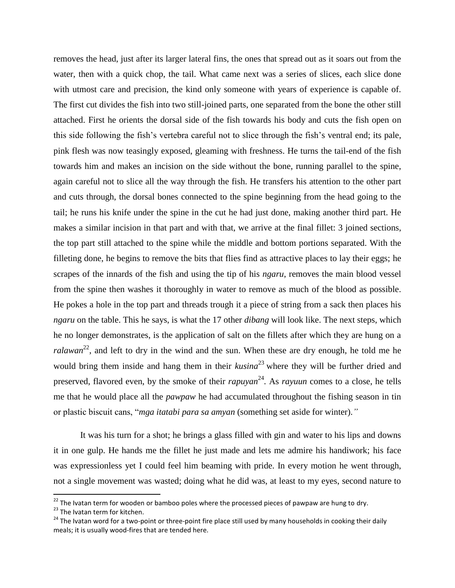removes the head, just after its larger lateral fins, the ones that spread out as it soars out from the water, then with a quick chop, the tail. What came next was a series of slices, each slice done with utmost care and precision, the kind only someone with years of experience is capable of. The first cut divides the fish into two still-joined parts, one separated from the bone the other still attached. First he orients the dorsal side of the fish towards his body and cuts the fish open on this side following the fish's vertebra careful not to slice through the fish's ventral end; its pale, pink flesh was now teasingly exposed, gleaming with freshness. He turns the tail-end of the fish towards him and makes an incision on the side without the bone, running parallel to the spine, again careful not to slice all the way through the fish. He transfers his attention to the other part and cuts through, the dorsal bones connected to the spine beginning from the head going to the tail; he runs his knife under the spine in the cut he had just done, making another third part. He makes a similar incision in that part and with that, we arrive at the final fillet: 3 joined sections, the top part still attached to the spine while the middle and bottom portions separated. With the filleting done, he begins to remove the bits that flies find as attractive places to lay their eggs; he scrapes of the innards of the fish and using the tip of his *ngaru*, removes the main blood vessel from the spine then washes it thoroughly in water to remove as much of the blood as possible. He pokes a hole in the top part and threads trough it a piece of string from a sack then places his *ngaru* on the table. This he says, is what the 17 other *dibang* will look like. The next steps, which he no longer demonstrates, is the application of salt on the fillets after which they are hung on a ralawan<sup>22</sup>, and left to dry in the wind and the sun. When these are dry enough, he told me he would bring them inside and hang them in their *kusina*<sup>23</sup> where they will be further dried and preserved, flavored even, by the smoke of their *rapuyan* 24 *.* As *rayuun* comes to a close, he tells me that he would place all the *pawpaw* he had accumulated throughout the fishing season in tin or plastic biscuit cans, "*mga itatabi para sa amyan* (something set aside for winter).*"*

It was his turn for a shot; he brings a glass filled with gin and water to his lips and downs it in one gulp. He hands me the fillet he just made and lets me admire his handiwork; his face was expressionless yet I could feel him beaming with pride. In every motion he went through, not a single movement was wasted; doing what he did was, at least to my eyes, second nature to

 $\overline{a}$ 

 $^{22}$  The Ivatan term for wooden or bamboo poles where the processed pieces of pawpaw are hung to dry.

<sup>&</sup>lt;sup>23</sup> The Ivatan term for kitchen.

 $24$  The Ivatan word for a two-point or three-point fire place still used by many households in cooking their daily meals; it is usually wood-fires that are tended here.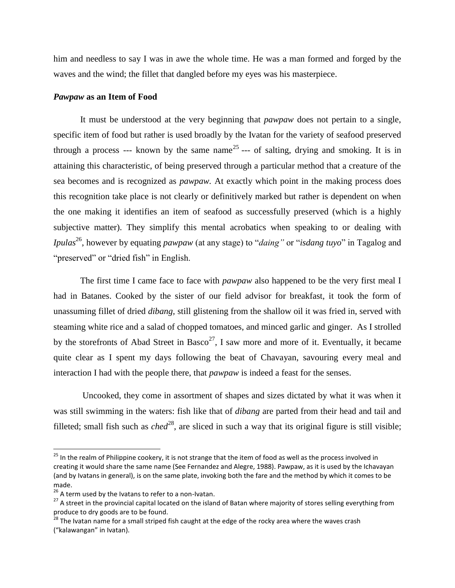him and needless to say I was in awe the whole time. He was a man formed and forged by the waves and the wind; the fillet that dangled before my eyes was his masterpiece.

#### *Pawpaw* **as an Item of Food**

It must be understood at the very beginning that *pawpaw* does not pertain to a single, specific item of food but rather is used broadly by the Ivatan for the variety of seafood preserved through a process --- known by the same name<sup>25</sup> --- of salting, drying and smoking. It is in attaining this characteristic, of being preserved through a particular method that a creature of the sea becomes and is recognized as *pawpaw.* At exactly which point in the making process does this recognition take place is not clearly or definitively marked but rather is dependent on when the one making it identifies an item of seafood as successfully preserved (which is a highly subjective matter). They simplify this mental acrobatics when speaking to or dealing with *Ipulas*<sup>26</sup> , however by equating *pawpaw* (at any stage) to "*daing"* or "*isdang tuyo*" in Tagalog and "preserved" or "dried fish" in English.

The first time I came face to face with *pawpaw* also happened to be the very first meal I had in Batanes. Cooked by the sister of our field advisor for breakfast, it took the form of unassuming fillet of dried *dibang,* still glistening from the shallow oil it was fried in, served with steaming white rice and a salad of chopped tomatoes, and minced garlic and ginger. As I strolled by the storefronts of Abad Street in Basco<sup>27</sup>, I saw more and more of it. Eventually, it became quite clear as I spent my days following the beat of Chavayan, savouring every meal and interaction I had with the people there, that *pawpaw* is indeed a feast for the senses.

Uncooked, they come in assortment of shapes and sizes dictated by what it was when it was still swimming in the waters: fish like that of *dibang* are parted from their head and tail and filleted; small fish such as  $ched^{28}$ , are sliced in such a way that its original figure is still visible;

<sup>&</sup>lt;sup>25</sup> In the realm of Philippine cookery, it is not strange that the item of food as well as the process involved in creating it would share the same name (See Fernandez and Alegre, 1988). Pawpaw, as it is used by the Ichavayan (and by Ivatans in general), is on the same plate, invoking both the fare and the method by which it comes to be made.

 $26$  A term used by the Ivatans to refer to a non-Ivatan.

<sup>&</sup>lt;sup>27</sup> A street in the provincial capital located on the island of Batan where majority of stores selling everything from produce to dry goods are to be found.

<sup>&</sup>lt;sup>28</sup> The Ivatan name for a small striped fish caught at the edge of the rocky area where the waves crash ("kalawangan" in Ivatan).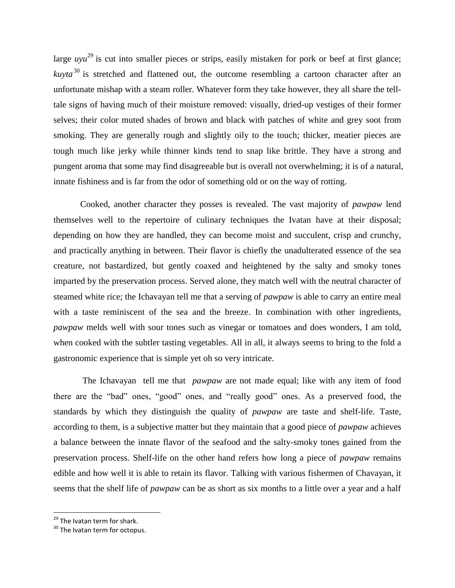large *uyu*<sup>29</sup> is cut into smaller pieces or strips, easily mistaken for pork or beef at first glance; *kuvta*<sup>30</sup> is stretched and flattened out, the outcome resembling a cartoon character after an unfortunate mishap with a steam roller. Whatever form they take however, they all share the telltale signs of having much of their moisture removed: visually, dried-up vestiges of their former selves; their color muted shades of brown and black with patches of white and grey soot from smoking. They are generally rough and slightly oily to the touch; thicker, meatier pieces are tough much like jerky while thinner kinds tend to snap like brittle. They have a strong and pungent aroma that some may find disagreeable but is overall not overwhelming; it is of a natural, innate fishiness and is far from the odor of something old or on the way of rotting.

Cooked, another character they posses is revealed. The vast majority of *pawpaw* lend themselves well to the repertoire of culinary techniques the Ivatan have at their disposal; depending on how they are handled, they can become moist and succulent, crisp and crunchy, and practically anything in between. Their flavor is chiefly the unadulterated essence of the sea creature, not bastardized, but gently coaxed and heightened by the salty and smoky tones imparted by the preservation process. Served alone, they match well with the neutral character of steamed white rice; the Ichavayan tell me that a serving of *pawpaw* is able to carry an entire meal with a taste reminiscent of the sea and the breeze. In combination with other ingredients, *pawpaw* melds well with sour tones such as vinegar or tomatoes and does wonders, I am told, when cooked with the subtler tasting vegetables. All in all, it always seems to bring to the fold a gastronomic experience that is simple yet oh so very intricate.

The Ichavayan tell me that *pawpaw* are not made equal; like with any item of food there are the "bad" ones, "good" ones, and "really good" ones. As a preserved food, the standards by which they distinguish the quality of *pawpaw* are taste and shelf-life. Taste, according to them, is a subjective matter but they maintain that a good piece of *pawpaw* achieves a balance between the innate flavor of the seafood and the salty-smoky tones gained from the preservation process. Shelf-life on the other hand refers how long a piece of *pawpaw* remains edible and how well it is able to retain its flavor. Talking with various fishermen of Chavayan, it seems that the shelf life of *pawpaw* can be as short as six months to a little over a year and a half

l

 $29$  The Ivatan term for shark.

<sup>&</sup>lt;sup>30</sup> The Ivatan term for octopus.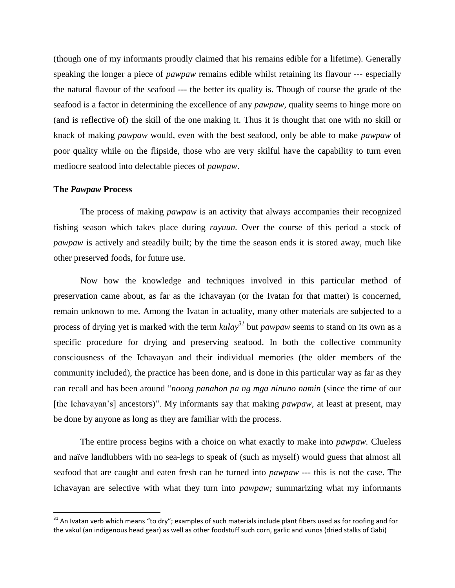(though one of my informants proudly claimed that his remains edible for a lifetime). Generally speaking the longer a piece of *pawpaw* remains edible whilst retaining its flavour --- especially the natural flavour of the seafood --- the better its quality is. Though of course the grade of the seafood is a factor in determining the excellence of any *pawpaw*, quality seems to hinge more on (and is reflective of) the skill of the one making it. Thus it is thought that one with no skill or knack of making *pawpaw* would, even with the best seafood, only be able to make *pawpaw* of poor quality while on the flipside, those who are very skilful have the capability to turn even mediocre seafood into delectable pieces of *pawpaw*.

#### **The** *Pawpaw* **Process**

l

The process of making *pawpaw* is an activity that always accompanies their recognized fishing season which takes place during *rayuun.* Over the course of this period a stock of *pawpaw* is actively and steadily built; by the time the season ends it is stored away, much like other preserved foods, for future use.

Now how the knowledge and techniques involved in this particular method of preservation came about, as far as the Ichavayan (or the Ivatan for that matter) is concerned, remain unknown to me. Among the Ivatan in actuality, many other materials are subjected to a process of drying yet is marked with the term *kulay<sup>31</sup>* but *pawpaw* seems to stand on its own as a specific procedure for drying and preserving seafood. In both the collective community consciousness of the Ichavayan and their individual memories (the older members of the community included), the practice has been done, and is done in this particular way as far as they can recall and has been around "*noong panahon pa ng mga ninuno namin* (since the time of our [the Ichavayan's] ancestors)". My informants say that making *pawpaw,* at least at present, may be done by anyone as long as they are familiar with the process.

The entire process begins with a choice on what exactly to make into *pawpaw.* Clueless and naïve landlubbers with no sea-legs to speak of (such as myself) would guess that almost all seafood that are caught and eaten fresh can be turned into *pawpaw ---* this is not the case. The Ichavayan are selective with what they turn into *pawpaw;* summarizing what my informants

 $31$  An Ivatan verb which means "to dry"; examples of such materials include plant fibers used as for roofing and for the vakul (an indigenous head gear) as well as other foodstuff such corn, garlic and vunos (dried stalks of Gabi)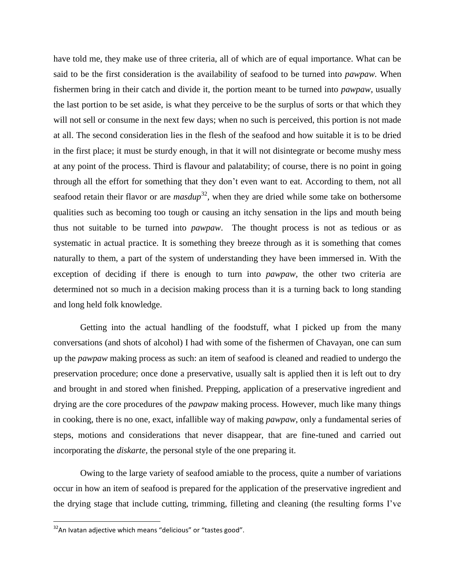have told me, they make use of three criteria, all of which are of equal importance. What can be said to be the first consideration is the availability of seafood to be turned into *pawpaw.* When fishermen bring in their catch and divide it, the portion meant to be turned into *pawpaw,* usually the last portion to be set aside, is what they perceive to be the surplus of sorts or that which they will not sell or consume in the next few days; when no such is perceived, this portion is not made at all. The second consideration lies in the flesh of the seafood and how suitable it is to be dried in the first place; it must be sturdy enough, in that it will not disintegrate or become mushy mess at any point of the process. Third is flavour and palatability; of course, there is no point in going through all the effort for something that they don't even want to eat. According to them, not all seafood retain their flavor or are  $masdup^{32}$ , when they are dried while some take on bothersome qualities such as becoming too tough or causing an itchy sensation in the lips and mouth being thus not suitable to be turned into *pawpaw*. The thought process is not as tedious or as systematic in actual practice. It is something they breeze through as it is something that comes naturally to them, a part of the system of understanding they have been immersed in. With the exception of deciding if there is enough to turn into *pawpaw,* the other two criteria are determined not so much in a decision making process than it is a turning back to long standing and long held folk knowledge.

Getting into the actual handling of the foodstuff, what I picked up from the many conversations (and shots of alcohol) I had with some of the fishermen of Chavayan, one can sum up the *pawpaw* making process as such: an item of seafood is cleaned and readied to undergo the preservation procedure; once done a preservative, usually salt is applied then it is left out to dry and brought in and stored when finished. Prepping, application of a preservative ingredient and drying are the core procedures of the *pawpaw* making process. However, much like many things in cooking, there is no one, exact, infallible way of making *pawpaw*, only a fundamental series of steps, motions and considerations that never disappear, that are fine-tuned and carried out incorporating the *diskarte,* the personal style of the one preparing it.

Owing to the large variety of seafood amiable to the process, quite a number of variations occur in how an item of seafood is prepared for the application of the preservative ingredient and the drying stage that include cutting, trimming, filleting and cleaning (the resulting forms I've

 $32$ An Ivatan adjective which means "delicious" or "tastes good".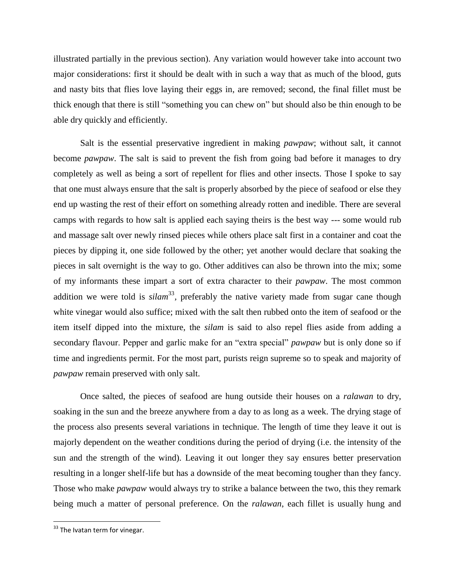illustrated partially in the previous section). Any variation would however take into account two major considerations: first it should be dealt with in such a way that as much of the blood, guts and nasty bits that flies love laying their eggs in, are removed; second, the final fillet must be thick enough that there is still "something you can chew on" but should also be thin enough to be able dry quickly and efficiently.

Salt is the essential preservative ingredient in making *pawpaw*; without salt, it cannot become *pawpaw*. The salt is said to prevent the fish from going bad before it manages to dry completely as well as being a sort of repellent for flies and other insects. Those I spoke to say that one must always ensure that the salt is properly absorbed by the piece of seafood or else they end up wasting the rest of their effort on something already rotten and inedible. There are several camps with regards to how salt is applied each saying theirs is the best way --- some would rub and massage salt over newly rinsed pieces while others place salt first in a container and coat the pieces by dipping it, one side followed by the other; yet another would declare that soaking the pieces in salt overnight is the way to go. Other additives can also be thrown into the mix; some of my informants these impart a sort of extra character to their *pawpaw*. The most common addition we were told is *silam*<sup>33</sup>, preferably the native variety made from sugar cane though white vinegar would also suffice; mixed with the salt then rubbed onto the item of seafood or the item itself dipped into the mixture, the *silam* is said to also repel flies aside from adding a secondary flavour. Pepper and garlic make for an "extra special" *pawpaw* but is only done so if time and ingredients permit. For the most part, purists reign supreme so to speak and majority of *pawpaw* remain preserved with only salt.

Once salted, the pieces of seafood are hung outside their houses on a *ralawan* to dry, soaking in the sun and the breeze anywhere from a day to as long as a week. The drying stage of the process also presents several variations in technique. The length of time they leave it out is majorly dependent on the weather conditions during the period of drying (i.e. the intensity of the sun and the strength of the wind). Leaving it out longer they say ensures better preservation resulting in a longer shelf-life but has a downside of the meat becoming tougher than they fancy. Those who make *pawpaw* would always try to strike a balance between the two, this they remark being much a matter of personal preference. On the *ralawan*, each fillet is usually hung and

 $33$  The Ivatan term for vinegar.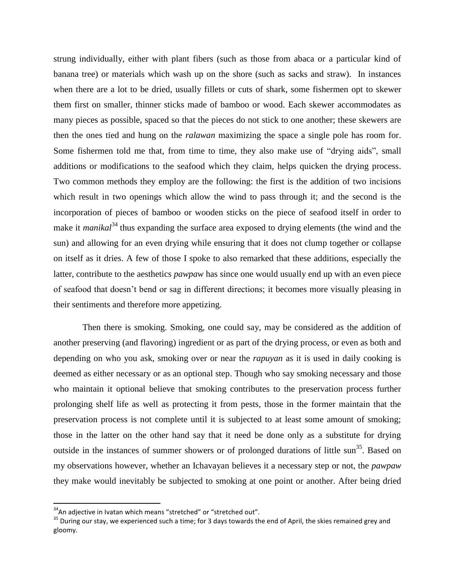strung individually, either with plant fibers (such as those from abaca or a particular kind of banana tree) or materials which wash up on the shore (such as sacks and straw). In instances when there are a lot to be dried, usually fillets or cuts of shark, some fishermen opt to skewer them first on smaller, thinner sticks made of bamboo or wood. Each skewer accommodates as many pieces as possible, spaced so that the pieces do not stick to one another; these skewers are then the ones tied and hung on the *ralawan* maximizing the space a single pole has room for. Some fishermen told me that, from time to time, they also make use of "drying aids", small additions or modifications to the seafood which they claim, helps quicken the drying process. Two common methods they employ are the following: the first is the addition of two incisions which result in two openings which allow the wind to pass through it; and the second is the incorporation of pieces of bamboo or wooden sticks on the piece of seafood itself in order to make it *manikal*<sup>34</sup> thus expanding the surface area exposed to drying elements (the wind and the sun) and allowing for an even drying while ensuring that it does not clump together or collapse on itself as it dries. A few of those I spoke to also remarked that these additions, especially the latter, contribute to the aesthetics *pawpaw* has since one would usually end up with an even piece of seafood that doesn't bend or sag in different directions; it becomes more visually pleasing in their sentiments and therefore more appetizing.

Then there is smoking. Smoking, one could say, may be considered as the addition of another preserving (and flavoring) ingredient or as part of the drying process, or even as both and depending on who you ask, smoking over or near the *rapuyan* as it is used in daily cooking is deemed as either necessary or as an optional step. Though who say smoking necessary and those who maintain it optional believe that smoking contributes to the preservation process further prolonging shelf life as well as protecting it from pests, those in the former maintain that the preservation process is not complete until it is subjected to at least some amount of smoking; those in the latter on the other hand say that it need be done only as a substitute for drying outside in the instances of summer showers or of prolonged durations of little sun<sup>35</sup>. Based on my observations however, whether an Ichavayan believes it a necessary step or not, the *pawpaw* they make would inevitably be subjected to smoking at one point or another. After being dried

 $34$ An adjective in Ivatan which means "stretched" or "stretched out".

<sup>&</sup>lt;sup>35</sup> During our stay, we experienced such a time; for 3 days towards the end of April, the skies remained grey and gloomy.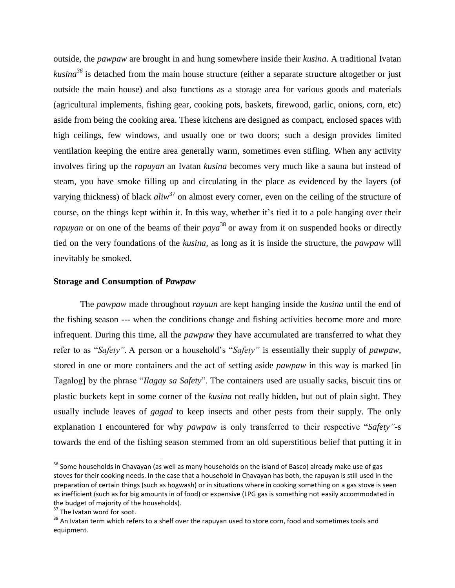outside, the *pawpaw* are brought in and hung somewhere inside their *kusina*. A traditional Ivatan *kusina<sup>36</sup>* is detached from the main house structure (either a separate structure altogether or just outside the main house) and also functions as a storage area for various goods and materials (agricultural implements, fishing gear, cooking pots, baskets, firewood, garlic, onions, corn, etc) aside from being the cooking area. These kitchens are designed as compact, enclosed spaces with high ceilings, few windows, and usually one or two doors; such a design provides limited ventilation keeping the entire area generally warm, sometimes even stifling. When any activity involves firing up the *rapuyan* an Ivatan *kusina* becomes very much like a sauna but instead of steam, you have smoke filling up and circulating in the place as evidenced by the layers (of varying thickness) of black *aliw*<sup>37</sup> on almost every corner, even on the ceiling of the structure of course, on the things kept within it. In this way, whether it's tied it to a pole hanging over their *rapuyan* or on one of the beams of their *paya* 38 or away from it on suspended hooks or directly tied on the very foundations of the *kusina,* as long as it is inside the structure, the *pawpaw* will inevitably be smoked.

#### **Storage and Consumption of** *Pawpaw*

The *pawpaw* made throughout *rayuun* are kept hanging inside the *kusina* until the end of the fishing season --- when the conditions change and fishing activities become more and more infrequent. During this time, all the *pawpaw* they have accumulated are transferred to what they refer to as "*Safety".* A person or a household's "*Safety"* is essentially their supply of *pawpaw*, stored in one or more containers and the act of setting aside *pawpaw* in this way is marked [in Tagalog] by the phrase "*Ilagay sa Safety*". The containers used are usually sacks, biscuit tins or plastic buckets kept in some corner of the *kusina* not really hidden, but out of plain sight. They usually include leaves of *gagad* to keep insects and other pests from their supply. The only explanation I encountered for why *pawpaw* is only transferred to their respective "*Safety"*-s towards the end of the fishing season stemmed from an old superstitious belief that putting it in

<sup>&</sup>lt;sup>36</sup> Some households in Chavayan (as well as many households on the island of Basco) already make use of gas stoves for their cooking needs. In the case that a household in Chavayan has both, the rapuyan is still used in the preparation of certain things (such as hogwash) or in situations where in cooking something on a gas stove is seen as inefficient (such as for big amounts in of food) or expensive (LPG gas is something not easily accommodated in the budget of majority of the households).

<sup>&</sup>lt;sup>37</sup> The Ivatan word for soot.

 $38$  An Ivatan term which refers to a shelf over the rapuyan used to store corn, food and sometimes tools and equipment.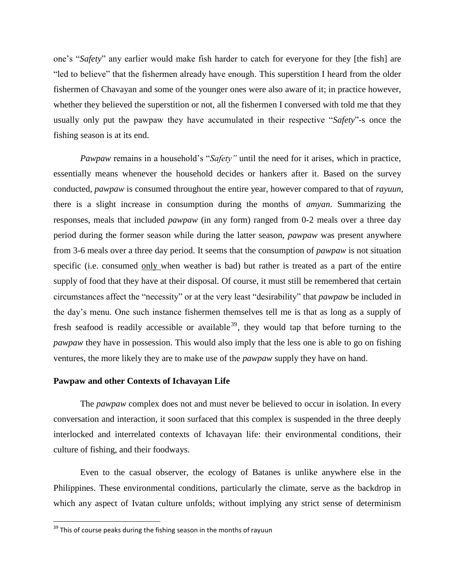one's "*Safety*" any earlier would make fish harder to catch for everyone for they [the fish] are "led to believe" that the fishermen already have enough. This superstition I heard from the older fishermen of Chavayan and some of the younger ones were also aware of it; in practice however, whether they believed the superstition or not, all the fishermen I conversed with told me that they usually only put the pawpaw they have accumulated in their respective "*Safety*"-s once the fishing season is at its end.

*Pawpaw* remains in a household's "*Safety"* until the need for it arises, which in practice, essentially means whenever the household decides or hankers after it. Based on the survey conducted, *pawpaw* is consumed throughout the entire year, however compared to that of *rayuun,* there is a slight increase in consumption during the months of *amyan*. Summarizing the responses, meals that included *pawpaw* (in any form) ranged from 0-2 meals over a three day period during the former season while during the latter season, *pawpaw* was present anywhere from 3-6 meals over a three day period. It seems that the consumption of *pawpaw* is not situation specific (i.e. consumed only when weather is bad) but rather is treated as a part of the entire supply of food that they have at their disposal. Of course, it must still be remembered that certain circumstances affect the "necessity" or at the very least "desirability" that *pawpaw* be included in the day's menu. One such instance fishermen themselves tell me is that as long as a supply of fresh seafood is readily accessible or available<sup>39</sup>, they would tap that before turning to the *pawpaw* they have in possession. This would also imply that the less one is able to go on fishing ventures, the more likely they are to make use of the *pawpaw* supply they have on hand.

#### **Pawpaw and other Contexts of Ichavayan Life**

The *pawpaw* complex does not and must never be believed to occur in isolation. In every conversation and interaction, it soon surfaced that this complex is suspended in the three deeply interlocked and interrelated contexts of Ichavayan life: their environmental conditions, their culture of fishing, and their foodways.

Even to the casual observer, the ecology of Batanes is unlike anywhere else in the Philippines. These environmental conditions, particularly the climate, serve as the backdrop in which any aspect of Ivatan culture unfolds; without implying any strict sense of determinism

 $39$  This of course peaks during the fishing season in the months of rayuun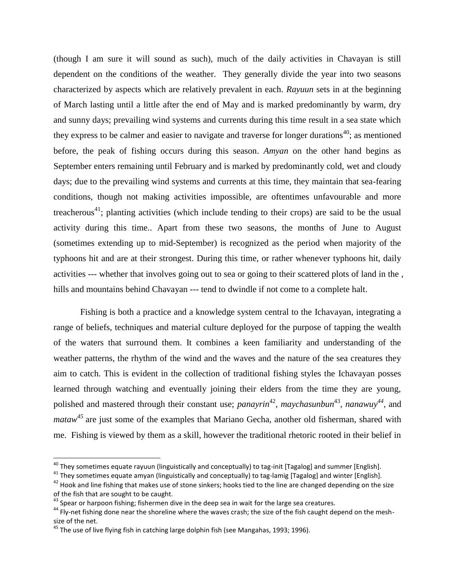(though I am sure it will sound as such), much of the daily activities in Chavayan is still dependent on the conditions of the weather. They generally divide the year into two seasons characterized by aspects which are relatively prevalent in each. *Rayuun* sets in at the beginning of March lasting until a little after the end of May and is marked predominantly by warm, dry and sunny days; prevailing wind systems and currents during this time result in a sea state which they express to be calmer and easier to navigate and traverse for longer durations<sup>40</sup>; as mentioned before, the peak of fishing occurs during this season. *Amyan* on the other hand begins as September enters remaining until February and is marked by predominantly cold, wet and cloudy days; due to the prevailing wind systems and currents at this time, they maintain that sea-fearing conditions, though not making activities impossible, are oftentimes unfavourable and more treacherous<sup>41</sup>; planting activities (which include tending to their crops) are said to be the usual activity during this time.. Apart from these two seasons, the months of June to August (sometimes extending up to mid-September) is recognized as the period when majority of the typhoons hit and are at their strongest. During this time, or rather whenever typhoons hit, daily activities --- whether that involves going out to sea or going to their scattered plots of land in the , hills and mountains behind Chavayan --- tend to dwindle if not come to a complete halt.

Fishing is both a practice and a knowledge system central to the Ichavayan, integrating a range of beliefs, techniques and material culture deployed for the purpose of tapping the wealth of the waters that surround them. It combines a keen familiarity and understanding of the weather patterns, the rhythm of the wind and the waves and the nature of the sea creatures they aim to catch. This is evident in the collection of traditional fishing styles the Ichavayan posses learned through watching and eventually joining their elders from the time they are young, polished and mastered through their constant use; *panayrin*<sup>42</sup>, *maychasunbun*<sup>43</sup>, *nanawuy*<sup>44</sup>, and *mataw*<sup>45</sup> are just some of the examples that Mariano Gecha, another old fisherman, shared with me. Fishing is viewed by them as a skill, however the traditional rhetoric rooted in their belief in

<sup>&</sup>lt;sup>40</sup> They sometimes equate rayuun (linguistically and conceptually) to tag-init [Tagalog] and summer [English].

 $41$  They sometimes equate amyan (linguistically and conceptually) to tag-lamig [Tagalog] and winter [English].

<sup>&</sup>lt;sup>42</sup> Hook and line fishing that makes use of stone sinkers; hooks tied to the line are changed depending on the size of the fish that are sought to be caught.

<sup>&</sup>lt;sup>43</sup> Spear or harpoon fishing; fishermen dive in the deep sea in wait for the large sea creatures.

<sup>&</sup>lt;sup>44</sup> Fly-net fishing done near the shoreline where the waves crash; the size of the fish caught depend on the meshsize of the net.

<sup>&</sup>lt;sup>45</sup> The use of live flying fish in catching large dolphin fish (see Mangahas, 1993; 1996).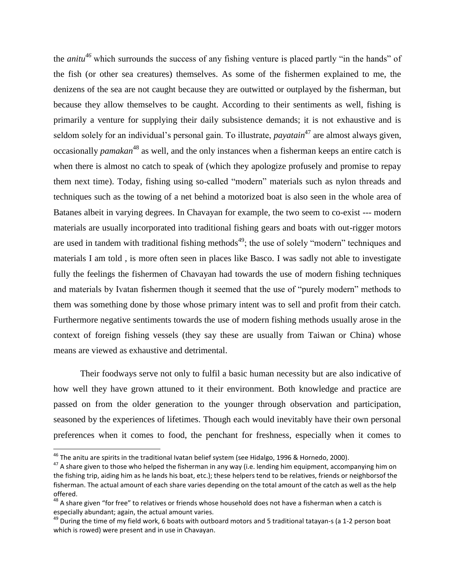the *anitu<sup>46</sup>* which surrounds the success of any fishing venture is placed partly "in the hands" of the fish (or other sea creatures) themselves. As some of the fishermen explained to me, the denizens of the sea are not caught because they are outwitted or outplayed by the fisherman, but because they allow themselves to be caught. According to their sentiments as well, fishing is primarily a venture for supplying their daily subsistence demands; it is not exhaustive and is seldom solely for an individual's personal gain. To illustrate, *payatain*<sup>47</sup> are almost always given, occasionally *pamakan*<sup>48</sup> as well, and the only instances when a fisherman keeps an entire catch is when there is almost no catch to speak of (which they apologize profusely and promise to repay them next time). Today, fishing using so-called "modern" materials such as nylon threads and techniques such as the towing of a net behind a motorized boat is also seen in the whole area of Batanes albeit in varying degrees. In Chavayan for example, the two seem to co-exist --- modern materials are usually incorporated into traditional fishing gears and boats with out-rigger motors are used in tandem with traditional fishing methods<sup>49</sup>; the use of solely "modern" techniques and materials I am told , is more often seen in places like Basco. I was sadly not able to investigate fully the feelings the fishermen of Chavayan had towards the use of modern fishing techniques and materials by Ivatan fishermen though it seemed that the use of "purely modern" methods to them was something done by those whose primary intent was to sell and profit from their catch. Furthermore negative sentiments towards the use of modern fishing methods usually arose in the context of foreign fishing vessels (they say these are usually from Taiwan or China) whose means are viewed as exhaustive and detrimental.

Their foodways serve not only to fulfil a basic human necessity but are also indicative of how well they have grown attuned to it their environment. Both knowledge and practice are passed on from the older generation to the younger through observation and participation, seasoned by the experiences of lifetimes. Though each would inevitably have their own personal preferences when it comes to food, the penchant for freshness, especially when it comes to

 $^{46}$  The anitu are spirits in the traditional Ivatan belief system (see Hidalgo, 1996 & Hornedo, 2000).

<sup>&</sup>lt;sup>47</sup> A share given to those who helped the fisherman in any way (i.e. lending him equipment, accompanying him on the fishing trip, aiding him as he lands his boat, etc.); these helpers tend to be relatives, friends or neighborsof the fisherman. The actual amount of each share varies depending on the total amount of the catch as well as the help offered.

<sup>&</sup>lt;sup>48</sup> A share given "for free" to relatives or friends whose household does not have a fisherman when a catch is especially abundant; again, the actual amount varies.

 $^{49}$  During the time of my field work, 6 boats with outboard motors and 5 traditional tatayan-s (a 1-2 person boat which is rowed) were present and in use in Chavayan.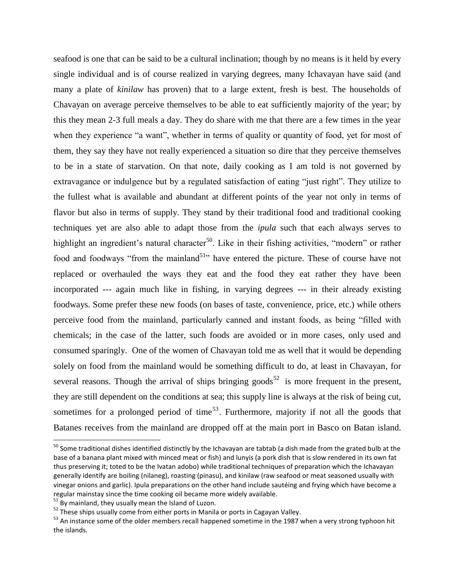seafood is one that can be said to be a cultural inclination; though by no means is it held by every single individual and is of course realized in varying degrees, many Ichavayan have said (and many a plate of *kinilaw* has proven) that to a large extent, fresh is best. The households of Chavayan on average perceive themselves to be able to eat sufficiently majority of the year; by this they mean 2-3 full meals a day. They do share with me that there are a few times in the year when they experience "a want", whether in terms of quality or quantity of food, yet for most of them, they say they have not really experienced a situation so dire that they perceive themselves to be in a state of starvation. On that note, daily cooking as I am told is not governed by extravagance or indulgence but by a regulated satisfaction of eating "just right". They utilize to the fullest what is available and abundant at different points of the year not only in terms of flavor but also in terms of supply. They stand by their traditional food and traditional cooking techniques yet are also able to adapt those from the *ipula* such that each always serves to highlight an ingredient's natural character<sup>50</sup>. Like in their fishing activities, "modern" or rather food and foodways "from the mainland<sup>51</sup>" have entered the picture. These of course have not replaced or overhauled the ways they eat and the food they eat rather they have been incorporated --- again much like in fishing, in varying degrees --- in their already existing foodways. Some prefer these new foods (on bases of taste, convenience, price, etc.) while others perceive food from the mainland, particularly canned and instant foods, as being "filled with chemicals; in the case of the latter, such foods are avoided or in more cases, only used and consumed sparingly. One of the women of Chavayan told me as well that it would be depending solely on food from the mainland would be something difficult to do, at least in Chavayan, for several reasons. Though the arrival of ships bringing goods<sup>52</sup> is more frequent in the present, they are still dependent on the conditions at sea; this supply line is always at the risk of being cut, sometimes for a prolonged period of time<sup>53</sup>. Furthermore, majority if not all the goods that Batanes receives from the mainland are dropped off at the main port in Basco on Batan island.

 $^{50}$  Some traditional dishes identified distinctly by the Ichavayan are tabtab (a dish made from the grated bulb at the base of a banana plant mixed with minced meat or fish) and lunyis (a pork dish that is slow rendered in its own fat thus preserving it; toted to be the Ivatan adobo) while traditional techniques of preparation which the Ichavayan generally identify are boiling (nilaneg), roasting (pinasu), and kinilaw (raw seafood or meat seasoned usually with vinegar onions and garlic). Ipula preparations on the other hand include sautéing and frying which have become a regular mainstay since the time cooking oil became more widely available.

 $51$  By mainland, they usually mean the Island of Luzon.

<sup>&</sup>lt;sup>52</sup> These ships usually come from either ports in Manila or ports in Cagayan Valley.

<sup>&</sup>lt;sup>53</sup> An instance some of the older members recall happened sometime in the 1987 when a very strong typhoon hit the islands.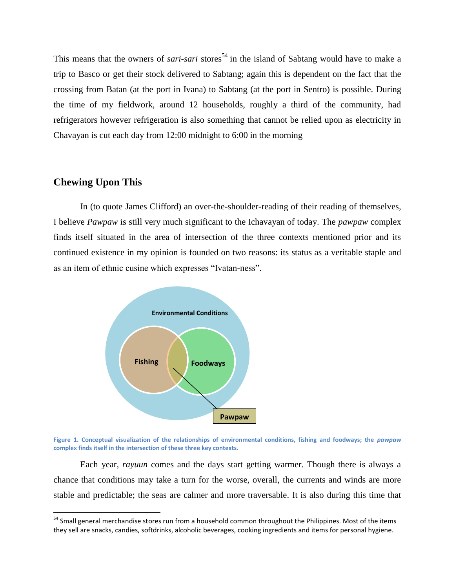This means that the owners of *sari-sari* stores<sup>54</sup> in the island of Sabtang would have to make a trip to Basco or get their stock delivered to Sabtang; again this is dependent on the fact that the crossing from Batan (at the port in Ivana) to Sabtang (at the port in Sentro) is possible. During the time of my fieldwork, around 12 households, roughly a third of the community, had refrigerators however refrigeration is also something that cannot be relied upon as electricity in Chavayan is cut each day from 12:00 midnight to 6:00 in the morning

### **Chewing Upon This**

l

In (to quote James Clifford) an over-the-shoulder-reading of their reading of themselves, I believe *Pawpaw* is still very much significant to the Ichavayan of today. The *pawpaw* complex finds itself situated in the area of intersection of the three contexts mentioned prior and its continued existence in my opinion is founded on two reasons: its status as a veritable staple and as an item of ethnic cusine which expresses "Ivatan-ness".



**Figure 1. Conceptual visualization of the relationships of environmental conditions, fishing and foodways; the** *pawpaw* **complex finds itself in the intersection of these three key contexts.**

Each year, *rayuun* comes and the days start getting warmer. Though there is always a chance that conditions may take a turn for the worse, overall, the currents and winds are more stable and predictable; the seas are calmer and more traversable. It is also during this time that

<sup>&</sup>lt;sup>54</sup> Small general merchandise stores run from a household common throughout the Philippines. Most of the items they sell are snacks, candies, softdrinks, alcoholic beverages, cooking ingredients and items for personal hygiene.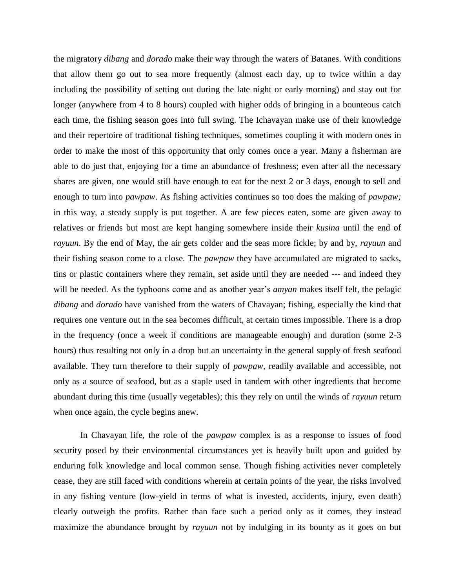the migratory *dibang* and *dorado* make their way through the waters of Batanes. With conditions that allow them go out to sea more frequently (almost each day, up to twice within a day including the possibility of setting out during the late night or early morning) and stay out for longer (anywhere from 4 to 8 hours) coupled with higher odds of bringing in a bounteous catch each time, the fishing season goes into full swing. The Ichavayan make use of their knowledge and their repertoire of traditional fishing techniques, sometimes coupling it with modern ones in order to make the most of this opportunity that only comes once a year. Many a fisherman are able to do just that, enjoying for a time an abundance of freshness; even after all the necessary shares are given, one would still have enough to eat for the next 2 or 3 days, enough to sell and enough to turn into *pawpaw*. As fishing activities continues so too does the making of *pawpaw;*  in this way, a steady supply is put together. A are few pieces eaten, some are given away to relatives or friends but most are kept hanging somewhere inside their *kusina* until the end of *rayuun*. By the end of May, the air gets colder and the seas more fickle; by and by, *rayuun* and their fishing season come to a close. The *pawpaw* they have accumulated are migrated to sacks, tins or plastic containers where they remain, set aside until they are needed --- and indeed they will be needed. As the typhoons come and as another year's *amyan* makes itself felt, the pelagic *dibang* and *dorado* have vanished from the waters of Chavayan; fishing, especially the kind that requires one venture out in the sea becomes difficult, at certain times impossible. There is a drop in the frequency (once a week if conditions are manageable enough) and duration (some 2-3 hours) thus resulting not only in a drop but an uncertainty in the general supply of fresh seafood available. They turn therefore to their supply of *pawpaw,* readily available and accessible, not only as a source of seafood, but as a staple used in tandem with other ingredients that become abundant during this time (usually vegetables); this they rely on until the winds of *rayuun* return when once again, the cycle begins anew.

In Chavayan life, the role of the *pawpaw* complex is as a response to issues of food security posed by their environmental circumstances yet is heavily built upon and guided by enduring folk knowledge and local common sense. Though fishing activities never completely cease, they are still faced with conditions wherein at certain points of the year, the risks involved in any fishing venture (low-yield in terms of what is invested, accidents, injury, even death) clearly outweigh the profits. Rather than face such a period only as it comes, they instead maximize the abundance brought by *rayuun* not by indulging in its bounty as it goes on but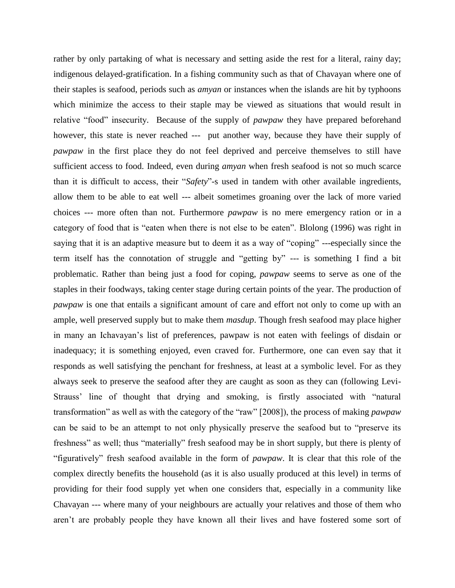rather by only partaking of what is necessary and setting aside the rest for a literal, rainy day; indigenous delayed-gratification. In a fishing community such as that of Chavayan where one of their staples is seafood, periods such as *amyan* or instances when the islands are hit by typhoons which minimize the access to their staple may be viewed as situations that would result in relative "food" insecurity. Because of the supply of *pawpaw* they have prepared beforehand however, this state is never reached --- put another way, because they have their supply of *pawpaw* in the first place they do not feel deprived and perceive themselves to still have sufficient access to food. Indeed, even during *amyan* when fresh seafood is not so much scarce than it is difficult to access, their "*Safety*"-s used in tandem with other available ingredients, allow them to be able to eat well --- albeit sometimes groaning over the lack of more varied choices --- more often than not. Furthermore *pawpaw* is no mere emergency ration or in a category of food that is "eaten when there is not else to be eaten". Blolong (1996) was right in saying that it is an adaptive measure but to deem it as a way of "coping" ---especially since the term itself has the connotation of struggle and "getting by" --- is something I find a bit problematic. Rather than being just a food for coping, *pawpaw* seems to serve as one of the staples in their foodways, taking center stage during certain points of the year. The production of *pawpaw* is one that entails a significant amount of care and effort not only to come up with an ample, well preserved supply but to make them *masdup*. Though fresh seafood may place higher in many an Ichavayan's list of preferences, pawpaw is not eaten with feelings of disdain or inadequacy; it is something enjoyed, even craved for. Furthermore, one can even say that it responds as well satisfying the penchant for freshness, at least at a symbolic level. For as they always seek to preserve the seafood after they are caught as soon as they can (following Levi-Strauss' line of thought that drying and smoking, is firstly associated with "natural transformation" as well as with the category of the "raw" [2008]), the process of making *pawpaw* can be said to be an attempt to not only physically preserve the seafood but to "preserve its freshness" as well; thus "materially" fresh seafood may be in short supply, but there is plenty of "figuratively" fresh seafood available in the form of *pawpaw*. It is clear that this role of the complex directly benefits the household (as it is also usually produced at this level) in terms of providing for their food supply yet when one considers that, especially in a community like Chavayan --- where many of your neighbours are actually your relatives and those of them who aren't are probably people they have known all their lives and have fostered some sort of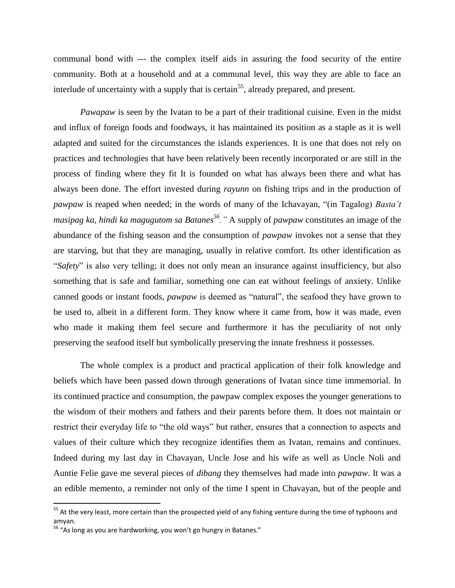communal bond with --- the complex itself aids in assuring the food security of the entire community. Both at a household and at a communal level, this way they are able to face an interlude of uncertainty with a supply that is certain<sup>55</sup>, already prepared, and present.

*Pawapaw* is seen by the Ivatan to be a part of their traditional cuisine. Even in the midst and influx of foreign foods and foodways, it has maintained its position as a staple as it is well adapted and suited for the circumstances the islands experiences. It is one that does not rely on practices and technologies that have been relatively been recently incorporated or are still in the process of finding where they fit It is founded on what has always been there and what has always been done. The effort invested during *rayunn* on fishing trips and in the production of *pawpaw* is reaped when needed; in the words of many of the Ichavayan*,* "(in Tagalog) *Basta't masipag ka, hindi ka magugutom sa Batanes<sup>56</sup>."* A supply of *pawpaw* constitutes an image of the abundance of the fishing season and the consumption of *pawpaw* invokes not a sense that they are starving, but that they are managing, usually in relative comfort. Its other identification as "*Safety*" is also very telling; it does not only mean an insurance against insufficiency, but also something that is safe and familiar, something one can eat without feelings of anxiety. Unlike canned goods or instant foods, *pawpaw* is deemed as "natural", the seafood they have grown to be used to, albeit in a different form. They know where it came from, how it was made, even who made it making them feel secure and furthermore it has the peculiarity of not only preserving the seafood itself but symbolically preserving the innate freshness it possesses.

The whole complex is a product and practical application of their folk knowledge and beliefs which have been passed down through generations of Ivatan since time immemorial. In its continued practice and consumption, the pawpaw complex exposes the younger generations to the wisdom of their mothers and fathers and their parents before them. It does not maintain or restrict their everyday life to "the old ways" but rather, ensures that a connection to aspects and values of their culture which they recognize identifies them as Ivatan, remains and continues. Indeed during my last day in Chavayan, Uncle Jose and his wife as well as Uncle Noli and Auntie Felie gave me several pieces of *dibang* they themselves had made into *pawpaw*. It was a an edible memento, a reminder not only of the time I spent in Chavayan, but of the people and

<sup>&</sup>lt;sup>55</sup> At the very least, more certain than the prospected yield of any fishing venture during the time of typhoons and amyan.

 $56$  "As long as you are hardworking, you won't go hungry in Batanes."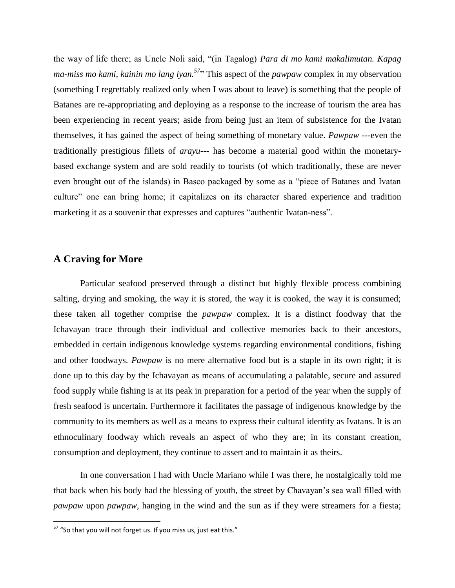the way of life there; as Uncle Noli said, "(in Tagalog) *Para di mo kami makalimutan. Kapag ma-miss mo kami, kainin mo lang iyan.*<sup>57</sup> This aspect of the *pawpaw* complex in my observation (something I regrettably realized only when I was about to leave) is something that the people of Batanes are re-appropriating and deploying as a response to the increase of tourism the area has been experiencing in recent years; aside from being just an item of subsistence for the Ivatan themselves, it has gained the aspect of being something of monetary value. *Pawpaw ---*even the traditionally prestigious fillets of *arayu---* has become a material good within the monetarybased exchange system and are sold readily to tourists (of which traditionally, these are never even brought out of the islands) in Basco packaged by some as a "piece of Batanes and Ivatan culture" one can bring home; it capitalizes on its character shared experience and tradition marketing it as a souvenir that expresses and captures "authentic Ivatan-ness".

## **A Craving for More**

Particular seafood preserved through a distinct but highly flexible process combining salting, drying and smoking, the way it is stored, the way it is cooked, the way it is consumed; these taken all together comprise the *pawpaw* complex. It is a distinct foodway that the Ichavayan trace through their individual and collective memories back to their ancestors, embedded in certain indigenous knowledge systems regarding environmental conditions, fishing and other foodways. *Pawpaw* is no mere alternative food but is a staple in its own right; it is done up to this day by the Ichavayan as means of accumulating a palatable, secure and assured food supply while fishing is at its peak in preparation for a period of the year when the supply of fresh seafood is uncertain. Furthermore it facilitates the passage of indigenous knowledge by the community to its members as well as a means to express their cultural identity as Ivatans. It is an ethnoculinary foodway which reveals an aspect of who they are; in its constant creation, consumption and deployment, they continue to assert and to maintain it as theirs.

In one conversation I had with Uncle Mariano while I was there, he nostalgically told me that back when his body had the blessing of youth, the street by Chavayan's sea wall filled with *pawpaw* upon *pawpaw*, hanging in the wind and the sun as if they were streamers for a fiesta;

 $57$  "So that you will not forget us. If you miss us, just eat this."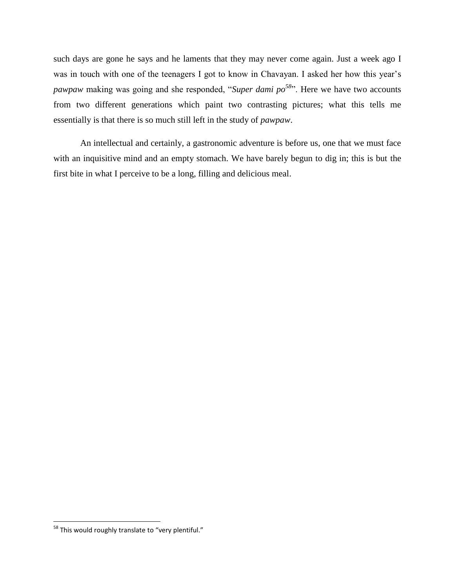such days are gone he says and he laments that they may never come again. Just a week ago I was in touch with one of the teenagers I got to know in Chavayan. I asked her how this year's *pawpaw* making was going and she responded, "*Super dami po<sup>58</sup>*". Here we have two accounts from two different generations which paint two contrasting pictures; what this tells me essentially is that there is so much still left in the study of *pawpaw*.

An intellectual and certainly, a gastronomic adventure is before us, one that we must face with an inquisitive mind and an empty stomach. We have barely begun to dig in; this is but the first bite in what I perceive to be a long, filling and delicious meal.

<sup>&</sup>lt;sup>58</sup> This would roughly translate to "very plentiful."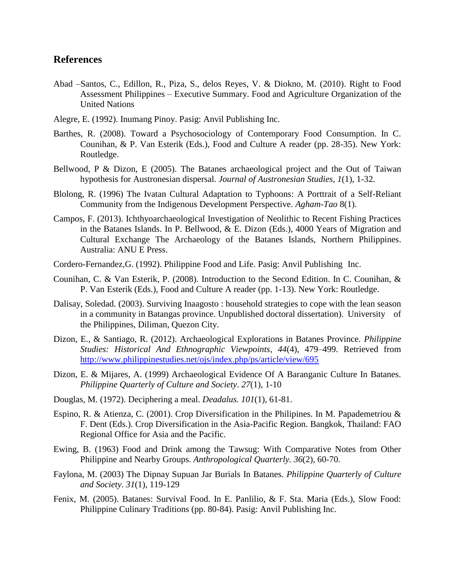### **References**

- Abad –Santos, C., Edillon, R., Piza, S., delos Reyes, V. & Diokno, M. (2010). Right to Food Assessment Philippines – Executive Summary. Food and Agriculture Organization of the United Nations
- Alegre, E. (1992). Inumang Pinoy. Pasig: Anvil Publishing Inc.
- Barthes, R. (2008). Toward a Psychosociology of Contemporary Food Consumption. In C. Counihan, & P. Van Esterik (Eds.), Food and Culture A reader (pp. 28-35). New York: Routledge.
- Bellwood, P & Dizon, E (2005). The Batanes archaeological project and the Out of Taiwan hypothesis for Austronesian dispersal. *Journal of Austronesian Studies*, *1*(1), 1-32.
- Blolong, R. (1996) The Ivatan Cultural Adaptation to Typhoons: A Porttrait of a Self-Reliant Community from the Indigenous Development Perspective. *Agham-Tao* 8(1).
- Campos, F. (2013). Ichthyoarchaeological Investigation of Neolithic to Recent Fishing Practices in the Batanes Islands. In P. Bellwood, & E. Dizon (Eds.), 4000 Years of Migration and Cultural Exchange The Archaeology of the Batanes Islands, Northern Philippines. Australia: ANU E Press.
- Cordero-Fernandez,G. (1992). Philippine Food and Life. Pasig: Anvil Publishing Inc.
- Counihan, C. & Van Esterik, P. (2008). Introduction to the Second Edition. In C. Counihan, & P. Van Esterik (Eds.), Food and Culture A reader (pp. 1-13). New York: Routledge.
- Dalisay, Soledad. (2003). Surviving Inaagosto : household strategies to cope with the lean season in a community in Batangas province. Unpublished doctoral dissertation). University of the Philippines, Diliman, Quezon City.
- Dizon, E., & Santiago, R. (2012). Archaeological Explorations in Batanes Province. *Philippine Studies: Historical And Ethnographic Viewpoints*, *44*(4), 479–499. Retrieved from <http://www.philippinestudies.net/ojs/index.php/ps/article/view/695>
- Dizon, E. & Mijares, A. (1999) Archaeological Evidence Of A Baranganic Culture In Batanes. *Philippine Quarterly of Culture and Society*. *27*(1), 1-10
- Douglas, M. (1972). Deciphering a meal. *Deadalus. 101*(1)*,* 61-81.
- Espino, R. & Atienza, C. (2001). Crop Diversification in the Philipines. In M. Papademetriou & F. Dent (Eds.). Crop Diversification in the Asia-Pacific Region. Bangkok, Thailand: FAO Regional Office for Asia and the Pacific.
- Ewing, B. (1963) Food and Drink among the Tawsug: With Comparative Notes from Other Philippine and Nearby Groups. *Anthropological Quarterly. 36*(2)*,* 60-70.
- Faylona, M. (2003) The Dipnay Supuan Jar Burials In Batanes. *Philippine Quarterly of Culture and Society*. *31*(1), 119-129
- Fenix, M. (2005). Batanes: Survival Food. In E. Panlilio, & F. Sta. Maria (Eds.), Slow Food: Philippine Culinary Traditions (pp. 80-84). Pasig: Anvil Publishing Inc.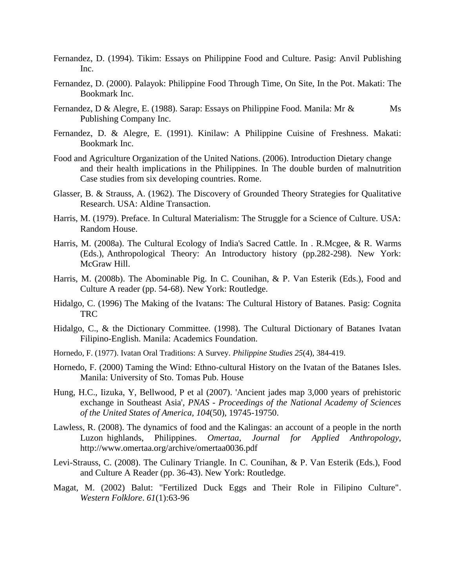- Fernandez, D. (1994). Tikim: Essays on Philippine Food and Culture. Pasig: Anvil Publishing Inc.
- Fernandez, D. (2000). Palayok: Philippine Food Through Time, On Site, In the Pot. Makati: The Bookmark Inc.
- Fernandez, D & Alegre, E. (1988). Sarap: Essays on Philippine Food. Manila: Mr & Ms Publishing Company Inc.
- Fernandez, D. & Alegre, E. (1991). Kinilaw: A Philippine Cuisine of Freshness. Makati: Bookmark Inc.
- Food and Agriculture Organization of the United Nations. (2006). Introduction Dietary change and their health implications in the Philippines. In The double burden of malnutrition Case studies from six developing countries. Rome.
- Glasser, B. & Strauss, A. (1962). The Discovery of Grounded Theory Strategies for Qualitative Research. USA: Aldine Transaction.
- Harris, M. (1979). Preface. In Cultural Materialism: The Struggle for a Science of Culture. USA: Random House.
- Harris, M. (2008a). The Cultural Ecology of India's Sacred Cattle. In . R.Mcgee, & R. Warms (Eds.), Anthropological Theory: An Introductory history (pp.282-298). New York: McGraw Hill.
- Harris, M. (2008b). The Abominable Pig. In C. Counihan, & P. Van Esterik (Eds.), Food and Culture A reader (pp. 54-68). New York: Routledge.
- Hidalgo, C. (1996) The Making of the Ivatans: The Cultural History of Batanes. Pasig: Cognita TRC
- Hidalgo, C., & the Dictionary Committee. (1998). The Cultural Dictionary of Batanes Ivatan Filipino-English. Manila: Academics Foundation.
- Hornedo, F. (1977). Ivatan Oral Traditions: A Survey*. Philippine Studies 25*(4), 384-419.
- Hornedo, F. (2000) Taming the Wind: Ethno-cultural History on the Ivatan of the Batanes Isles. Manila: University of Sto. Tomas Pub. House
- Hung, H.C., Iizuka, Y, Bellwood, P et al (2007). 'Ancient jades map 3,000 years of prehistoric exchange in Southeast Asia', *PNAS - Proceedings of the National Academy of Sciences of the United States of America, 104*(50), 19745-19750.
- Lawless, R. (2008). The dynamics of food and the Kalingas: an account of a people in the north Luzon highlands, Philippines. *Omertaa, Journal for Applied Anthropology*, http://www.omertaa.org/archive/omertaa0036.pdf
- Levi-Strauss, C. (2008). The Culinary Triangle. In C. Counihan, & P. Van Esterik (Eds.), Food and Culture A Reader (pp. 36-43). New York: Routledge.
- Magat, M. (2002) Balut: "Fertilized Duck Eggs and Their Role in Filipino Culture". *Western Folklore*. *61*(1):63-96